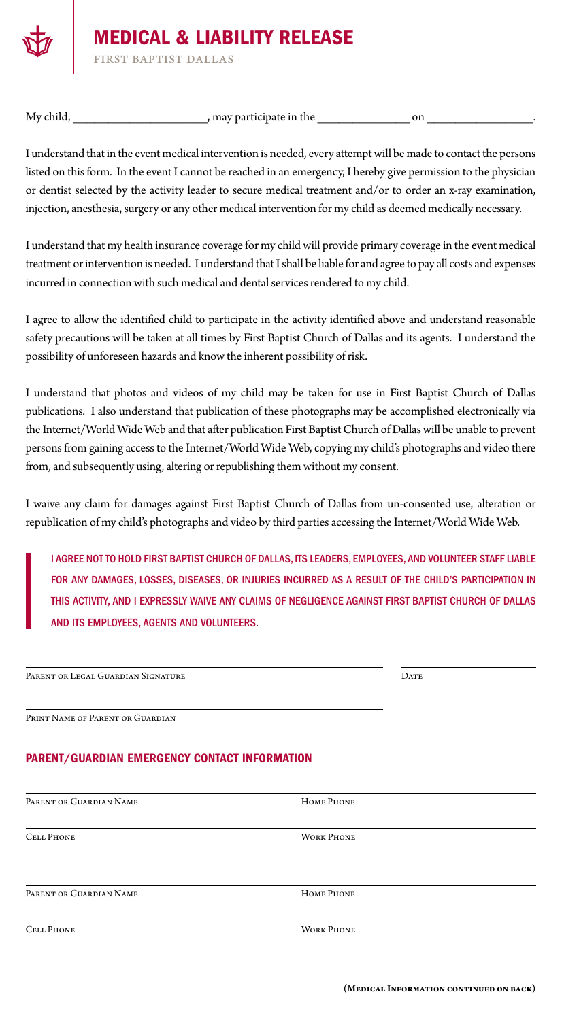

## MEDICAL & LIABILITY RELEASE

first baptist dallas

My child, the contract of the contract of the contract of the contract of the contract of the contract of the contract of the contract of the contract of the contract of the contract of the contract of the contract of the

I understand that in the event medical intervention is needed, every attempt will be made to contact the persons listed on this form. In the event I cannot be reached in an emergency, I hereby give permission to the physician or dentist selected by the activity leader to secure medical treatment and/or to order an x-ray examination, injection, anesthesia, surgery or any other medical intervention for my child as deemed medically necessary.

I understand that my health insurance coverage for my child will provide primary coverage in the event medical treatment or intervention is needed. I understand that I shall be liable for and agree to pay all costs and expenses incurred in connection with such medical and dental services rendered to my child.

I agree to allow the identified child to participate in the activity identified above and understand reasonable safety precautions will be taken at all times by First Baptist Church of Dallas and its agents. I understand the possibility of unforeseen hazards and know the inherent possibility of risk.

I understand that photos and videos of my child may be taken for use in First Baptist Church of Dallas publications. I also understand that publication of these photographs may be accomplished electronically via the Internet/World Wide Web and that after publication First Baptist Church of Dallas will be unable to prevent persons from gaining access to the Internet/World Wide Web, copying my child's photographs and video there from, and subsequently using, altering or republishing them without my consent.

I waive any claim for damages against First Baptist Church of Dallas from un-consented use, alteration or republication of my child's photographs and video by third parties accessing the Internet/World Wide Web.

I AGREE NOT TO HOLD FIRST BAPTIST CHURCH OF DALLAS, ITS LEADERS, EMPLOYEES, AND VOLUNTEER STAFF LIABLE FOR ANY DAMAGES, LOSSES, DISEASES, OR INJURIES INCURRED AS A RESULT OF THE CHILD'S PARTICIPATION IN THIS ACTIVITY, AND I EXPRESSLY WAIVE ANY CLAIMS OF NEGLIGENCE AGAINST FIRST BAPTIST CHURCH OF DALLAS AND ITS EMPLOYEES, AGENTS AND VOLUNTEERS.

| PARENT OR LEGAL GUARDIAN SIGNATURE                   |            | <b>DATE</b> |  |
|------------------------------------------------------|------------|-------------|--|
|                                                      |            |             |  |
| PRINT NAME OF PARENT OR GUARDIAN                     |            |             |  |
| <b>PARENT/GUARDIAN EMERGENCY CONTACT INFORMATION</b> |            |             |  |
| <b>DADEMT OD CHAPDIAN NAME</b>                       | HOME DHOME |             |  |

| <b>CELL PHONE</b>       | <b>WORK PHONE</b> |  |
|-------------------------|-------------------|--|
|                         |                   |  |
|                         |                   |  |
| PARENT OR GUARDIAN NAME | HOME PHONE        |  |
|                         |                   |  |
| <b>CELL PHONE</b>       | <b>WORK PHONE</b> |  |